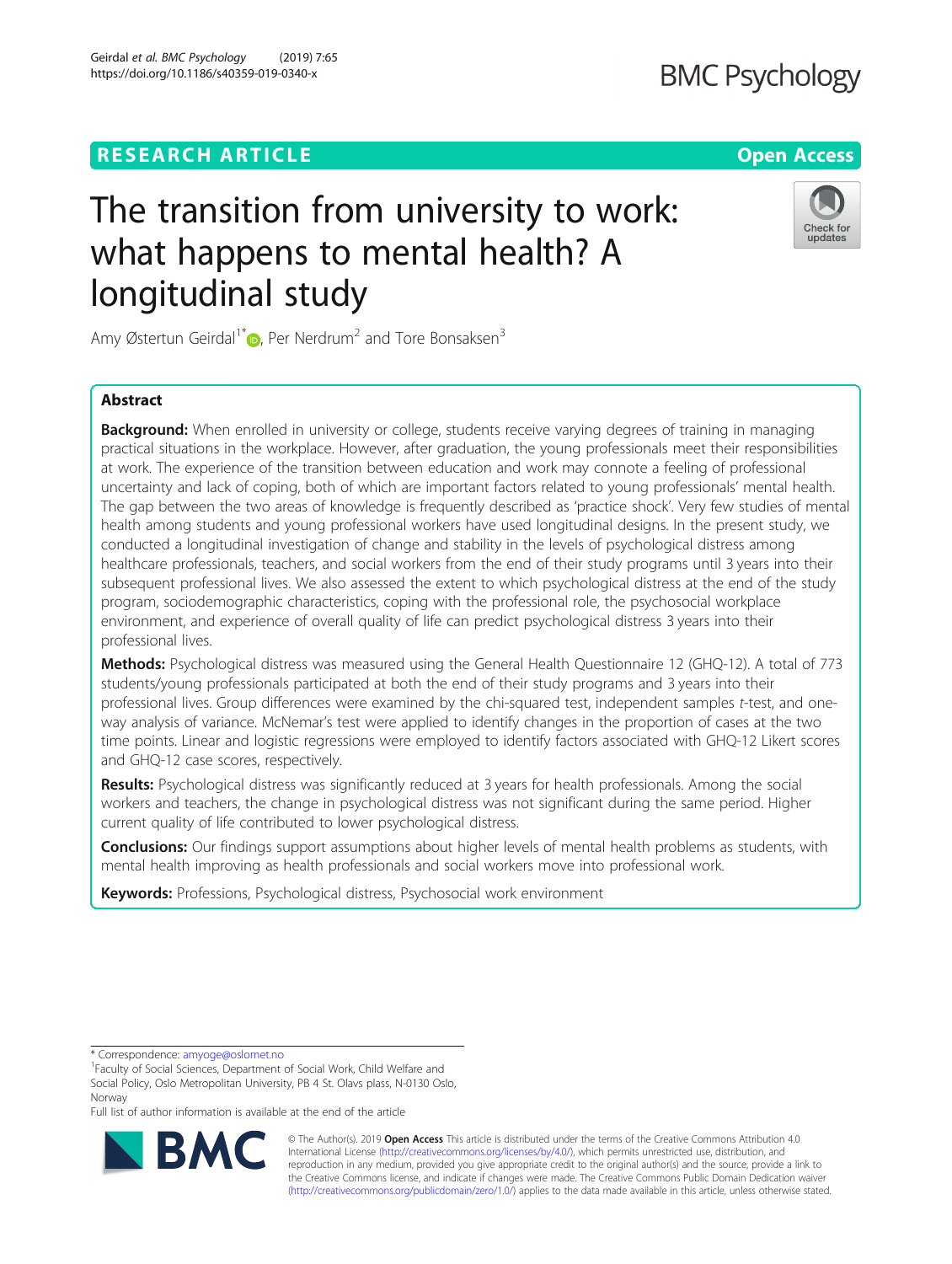# **RESEARCH ARTICLE Example 2018 12:30 The Contract of Contract Contract Open Access**

# The transition from university to work: what happens to mental health? A longitudinal study

Amy Østertun Geirdal<sup>1[\\*](http://orcid.org/0000-0003-0016-8244)</sup> <sub>(b</sub>, Per Nerdrum<sup>2</sup> and Tore Bonsaksen<sup>3</sup>

## Abstract

Background: When enrolled in university or college, students receive varying degrees of training in managing practical situations in the workplace. However, after graduation, the young professionals meet their responsibilities at work. The experience of the transition between education and work may connote a feeling of professional uncertainty and lack of coping, both of which are important factors related to young professionals' mental health. The gap between the two areas of knowledge is frequently described as 'practice shock'. Very few studies of mental health among students and young professional workers have used longitudinal designs. In the present study, we conducted a longitudinal investigation of change and stability in the levels of psychological distress among healthcare professionals, teachers, and social workers from the end of their study programs until 3 years into their subsequent professional lives. We also assessed the extent to which psychological distress at the end of the study program, sociodemographic characteristics, coping with the professional role, the psychosocial workplace environment, and experience of overall quality of life can predict psychological distress 3 years into their professional lives.

Methods: Psychological distress was measured using the General Health Questionnaire 12 (GHQ-12). A total of 773 students/young professionals participated at both the end of their study programs and 3 years into their professional lives. Group differences were examined by the chi-squared test, independent samples t-test, and oneway analysis of variance. McNemar's test were applied to identify changes in the proportion of cases at the two time points. Linear and logistic regressions were employed to identify factors associated with GHQ-12 Likert scores and GHQ-12 case scores, respectively.

Results: Psychological distress was significantly reduced at 3 years for health professionals. Among the social workers and teachers, the change in psychological distress was not significant during the same period. Higher current quality of life contributed to lower psychological distress.

**Conclusions:** Our findings support assumptions about higher levels of mental health problems as students, with mental health improving as health professionals and social workers move into professional work.

Keywords: Professions, Psychological distress, Psychosocial work environment



© The Author(s). 2019 **Open Access** This article is distributed under the terms of the Creative Commons Attribution 4.0 International License [\(http://creativecommons.org/licenses/by/4.0/](http://creativecommons.org/licenses/by/4.0/)), which permits unrestricted use, distribution, and reproduction in any medium, provided you give appropriate credit to the original author(s) and the source, provide a link to the Creative Commons license, and indicate if changes were made. The Creative Commons Public Domain Dedication waiver [\(http://creativecommons.org/publicdomain/zero/1.0/](http://creativecommons.org/publicdomain/zero/1.0/)) applies to the data made available in this article, unless otherwise stated.



<sup>\*</sup> Correspondence: [amyoge@oslomet.no](mailto:amyoge@oslomet.no) <sup>1</sup>

<sup>&</sup>lt;sup>1</sup> Faculty of Social Sciences, Department of Social Work, Child Welfare and Social Policy, Oslo Metropolitan University, PB 4 St. Olavs plass, N-0130 Oslo, Norway

Full list of author information is available at the end of the article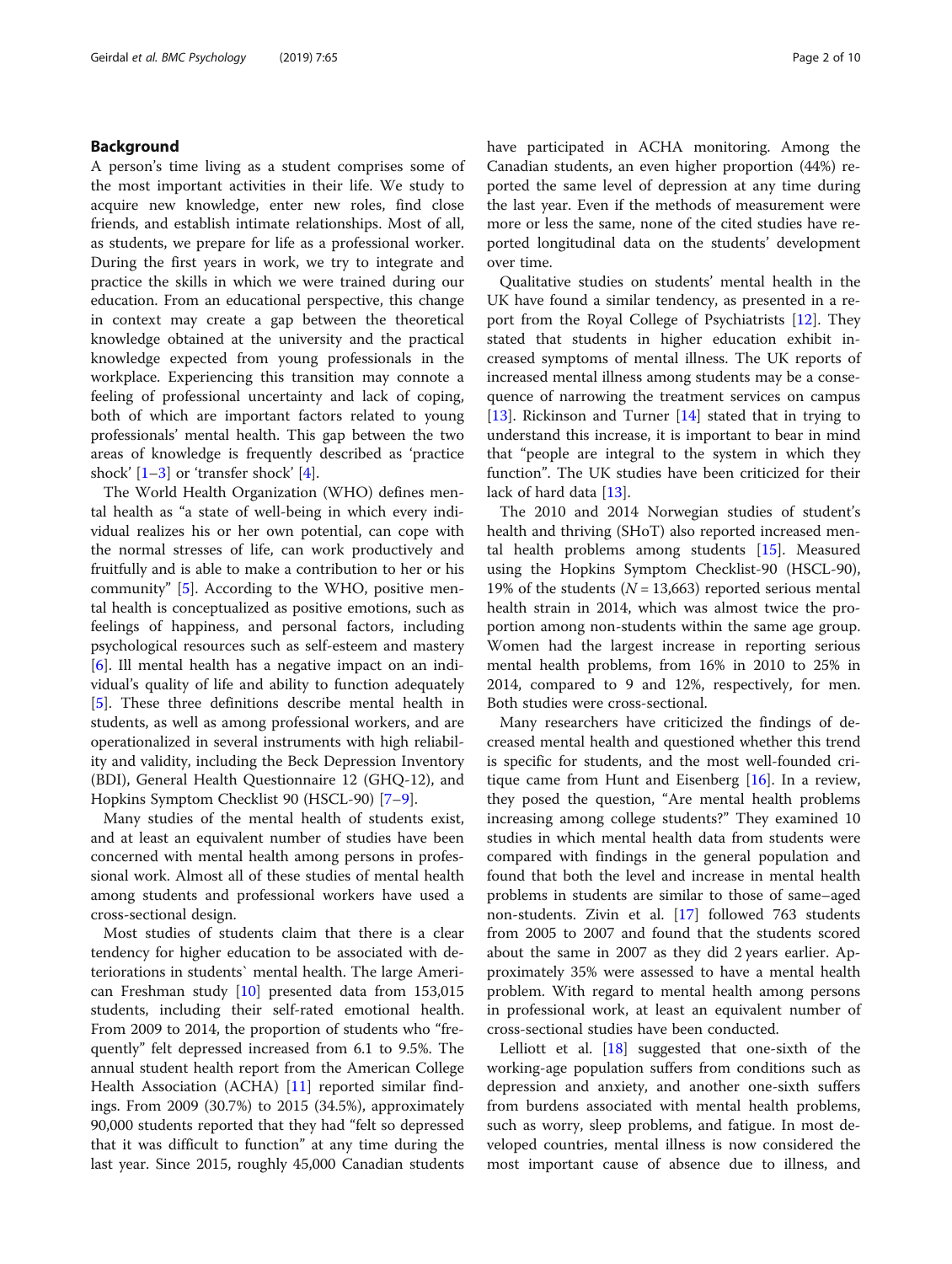#### Background

A person's time living as a student comprises some of the most important activities in their life. We study to acquire new knowledge, enter new roles, find close friends, and establish intimate relationships. Most of all, as students, we prepare for life as a professional worker. During the first years in work, we try to integrate and practice the skills in which we were trained during our education. From an educational perspective, this change in context may create a gap between the theoretical knowledge obtained at the university and the practical knowledge expected from young professionals in the workplace. Experiencing this transition may connote a feeling of professional uncertainty and lack of coping, both of which are important factors related to young professionals' mental health. This gap between the two areas of knowledge is frequently described as 'practice shock'  $[1-3]$  $[1-3]$  $[1-3]$  $[1-3]$  or 'transfer shock'  $[4]$  $[4]$ .

The World Health Organization (WHO) defines mental health as "a state of well-being in which every individual realizes his or her own potential, can cope with the normal stresses of life, can work productively and fruitfully and is able to make a contribution to her or his community" [[5\]](#page-8-0). According to the WHO, positive mental health is conceptualized as positive emotions, such as feelings of happiness, and personal factors, including psychological resources such as self-esteem and mastery [[6\]](#page-8-0). Ill mental health has a negative impact on an individual's quality of life and ability to function adequately [[5\]](#page-8-0). These three definitions describe mental health in students, as well as among professional workers, and are operationalized in several instruments with high reliability and validity, including the Beck Depression Inventory (BDI), General Health Questionnaire 12 (GHQ-12), and Hopkins Symptom Checklist 90 (HSCL-90) [\[7](#page-8-0)–[9](#page-8-0)].

Many studies of the mental health of students exist, and at least an equivalent number of studies have been concerned with mental health among persons in professional work. Almost all of these studies of mental health among students and professional workers have used a cross-sectional design.

Most studies of students claim that there is a clear tendency for higher education to be associated with deteriorations in students` mental health. The large American Freshman study [\[10](#page-8-0)] presented data from 153,015 students, including their self-rated emotional health. From 2009 to 2014, the proportion of students who "frequently" felt depressed increased from 6.1 to 9.5%. The annual student health report from the American College Health Association (ACHA) [\[11\]](#page-8-0) reported similar findings. From 2009 (30.7%) to 2015 (34.5%), approximately 90,000 students reported that they had "felt so depressed that it was difficult to function" at any time during the last year. Since 2015, roughly 45,000 Canadian students have participated in ACHA monitoring. Among the Canadian students, an even higher proportion (44%) reported the same level of depression at any time during the last year. Even if the methods of measurement were more or less the same, none of the cited studies have reported longitudinal data on the students' development over time.

Qualitative studies on students' mental health in the UK have found a similar tendency, as presented in a report from the Royal College of Psychiatrists [[12](#page-8-0)]. They stated that students in higher education exhibit increased symptoms of mental illness. The UK reports of increased mental illness among students may be a consequence of narrowing the treatment services on campus [[13\]](#page-8-0). Rickinson and Turner [[14\]](#page-8-0) stated that in trying to understand this increase, it is important to bear in mind that "people are integral to the system in which they function". The UK studies have been criticized for their lack of hard data [[13](#page-8-0)].

The 2010 and 2014 Norwegian studies of student's health and thriving (SHoT) also reported increased mental health problems among students [[15](#page-8-0)]. Measured using the Hopkins Symptom Checklist-90 (HSCL-90), 19% of the students ( $N = 13,663$ ) reported serious mental health strain in 2014, which was almost twice the proportion among non-students within the same age group. Women had the largest increase in reporting serious mental health problems, from 16% in 2010 to 25% in 2014, compared to 9 and 12%, respectively, for men. Both studies were cross-sectional.

Many researchers have criticized the findings of decreased mental health and questioned whether this trend is specific for students, and the most well-founded critique came from Hunt and Eisenberg  $[16]$  $[16]$ . In a review, they posed the question, "Are mental health problems increasing among college students?" They examined 10 studies in which mental health data from students were compared with findings in the general population and found that both the level and increase in mental health problems in students are similar to those of same–aged non-students. Zivin et al. [[17](#page-8-0)] followed 763 students from 2005 to 2007 and found that the students scored about the same in 2007 as they did 2 years earlier. Approximately 35% were assessed to have a mental health problem. With regard to mental health among persons in professional work, at least an equivalent number of cross-sectional studies have been conducted.

Lelliott et al. [\[18\]](#page-8-0) suggested that one-sixth of the working-age population suffers from conditions such as depression and anxiety, and another one-sixth suffers from burdens associated with mental health problems, such as worry, sleep problems, and fatigue. In most developed countries, mental illness is now considered the most important cause of absence due to illness, and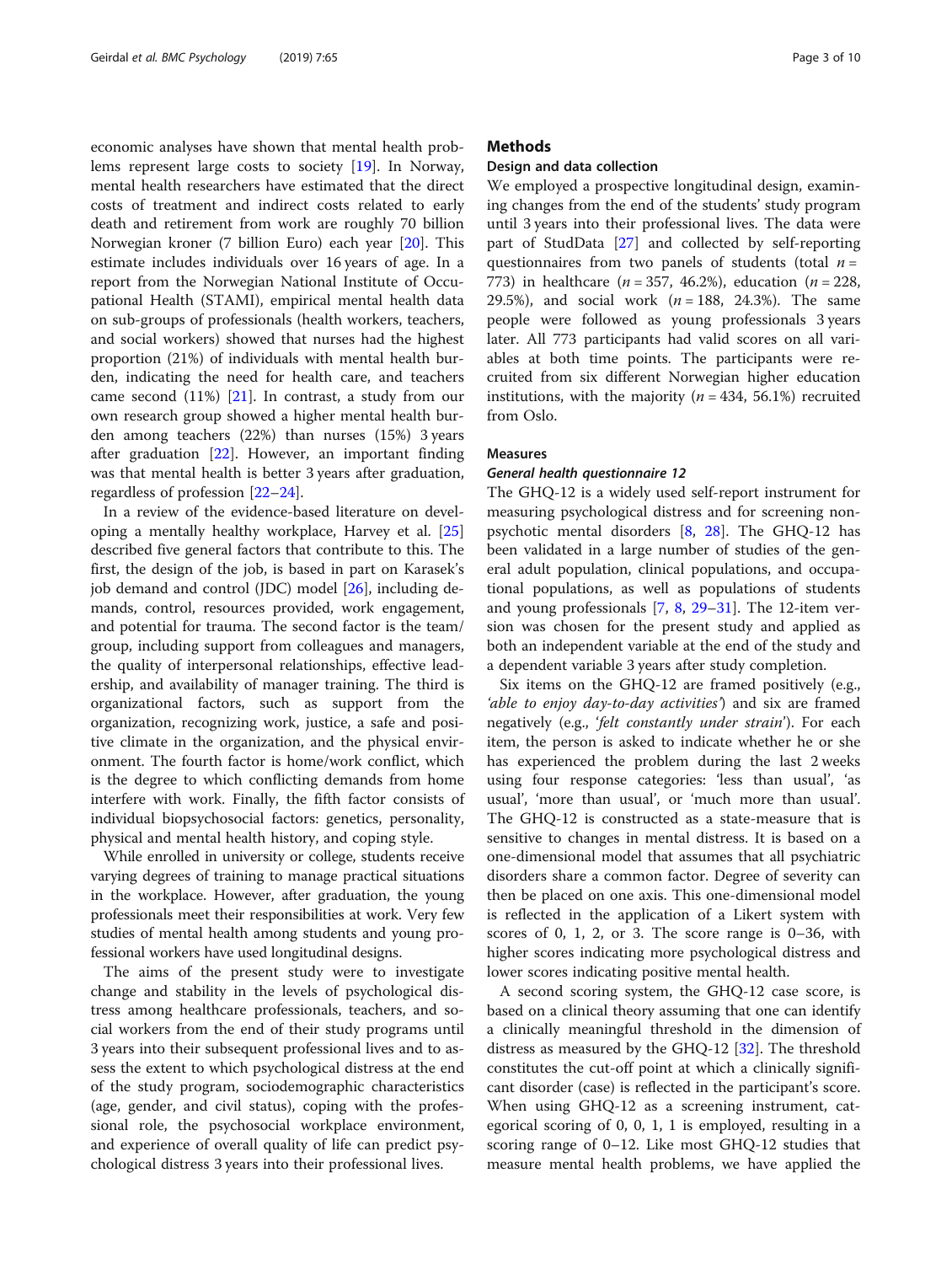economic analyses have shown that mental health problems represent large costs to society [[19\]](#page-8-0). In Norway, mental health researchers have estimated that the direct costs of treatment and indirect costs related to early death and retirement from work are roughly 70 billion Norwegian kroner (7 billion Euro) each year [\[20\]](#page-8-0). This estimate includes individuals over 16 years of age. In a report from the Norwegian National Institute of Occupational Health (STAMI), empirical mental health data on sub-groups of professionals (health workers, teachers, and social workers) showed that nurses had the highest proportion (21%) of individuals with mental health burden, indicating the need for health care, and teachers came second  $(11%)$  [\[21](#page-8-0)]. In contrast, a study from our own research group showed a higher mental health burden among teachers (22%) than nurses (15%) 3 years after graduation [\[22\]](#page-8-0). However, an important finding was that mental health is better 3 years after graduation, regardless of profession [\[22](#page-8-0)–[24\]](#page-8-0).

In a review of the evidence-based literature on developing a mentally healthy workplace, Harvey et al. [[25](#page-8-0)] described five general factors that contribute to this. The first, the design of the job, is based in part on Karasek's job demand and control (JDC) model  $[26]$  $[26]$ , including demands, control, resources provided, work engagement, and potential for trauma. The second factor is the team/ group, including support from colleagues and managers, the quality of interpersonal relationships, effective leadership, and availability of manager training. The third is organizational factors, such as support from the organization, recognizing work, justice, a safe and positive climate in the organization, and the physical environment. The fourth factor is home/work conflict, which is the degree to which conflicting demands from home interfere with work. Finally, the fifth factor consists of individual biopsychosocial factors: genetics, personality, physical and mental health history, and coping style.

While enrolled in university or college, students receive varying degrees of training to manage practical situations in the workplace. However, after graduation, the young professionals meet their responsibilities at work. Very few studies of mental health among students and young professional workers have used longitudinal designs.

The aims of the present study were to investigate change and stability in the levels of psychological distress among healthcare professionals, teachers, and social workers from the end of their study programs until 3 years into their subsequent professional lives and to assess the extent to which psychological distress at the end of the study program, sociodemographic characteristics (age, gender, and civil status), coping with the professional role, the psychosocial workplace environment, and experience of overall quality of life can predict psychological distress 3 years into their professional lives.

#### **Methods**

#### Design and data collection

We employed a prospective longitudinal design, examining changes from the end of the students' study program until 3 years into their professional lives. The data were part of StudData [\[27\]](#page-9-0) and collected by self-reporting questionnaires from two panels of students (total  $n =$ 773) in healthcare ( $n = 357, 46.2\%$ ), education ( $n = 228$ , 29.5%), and social work  $(n = 188, 24.3)$ . The same people were followed as young professionals 3 years later. All 773 participants had valid scores on all variables at both time points. The participants were recruited from six different Norwegian higher education institutions, with the majority ( $n = 434, 56.1\%$ ) recruited from Oslo.

#### Measures

#### General health questionnaire 12

The GHQ-12 is a widely used self-report instrument for measuring psychological distress and for screening nonpsychotic mental disorders [\[8](#page-8-0), [28\]](#page-9-0). The GHQ-12 has been validated in a large number of studies of the general adult population, clinical populations, and occupational populations, as well as populations of students and young professionals [\[7](#page-8-0), [8,](#page-8-0) [29](#page-9-0)–[31](#page-9-0)]. The 12-item version was chosen for the present study and applied as both an independent variable at the end of the study and a dependent variable 3 years after study completion.

Six items on the GHQ-12 are framed positively (e.g., 'able to enjoy day-to-day activities') and six are framed negatively (e.g., 'felt constantly under strain'). For each item, the person is asked to indicate whether he or she has experienced the problem during the last 2 weeks using four response categories: 'less than usual', 'as usual', 'more than usual', or 'much more than usual'. The GHQ-12 is constructed as a state-measure that is sensitive to changes in mental distress. It is based on a one-dimensional model that assumes that all psychiatric disorders share a common factor. Degree of severity can then be placed on one axis. This one-dimensional model is reflected in the application of a Likert system with scores of 0, 1, 2, or 3. The score range is 0–36, with higher scores indicating more psychological distress and lower scores indicating positive mental health.

A second scoring system, the GHQ-12 case score, is based on a clinical theory assuming that one can identify a clinically meaningful threshold in the dimension of distress as measured by the GHQ-12 [[32](#page-9-0)]. The threshold constitutes the cut-off point at which a clinically significant disorder (case) is reflected in the participant's score. When using GHQ-12 as a screening instrument, categorical scoring of 0, 0, 1, 1 is employed, resulting in a scoring range of 0–12. Like most GHQ-12 studies that measure mental health problems, we have applied the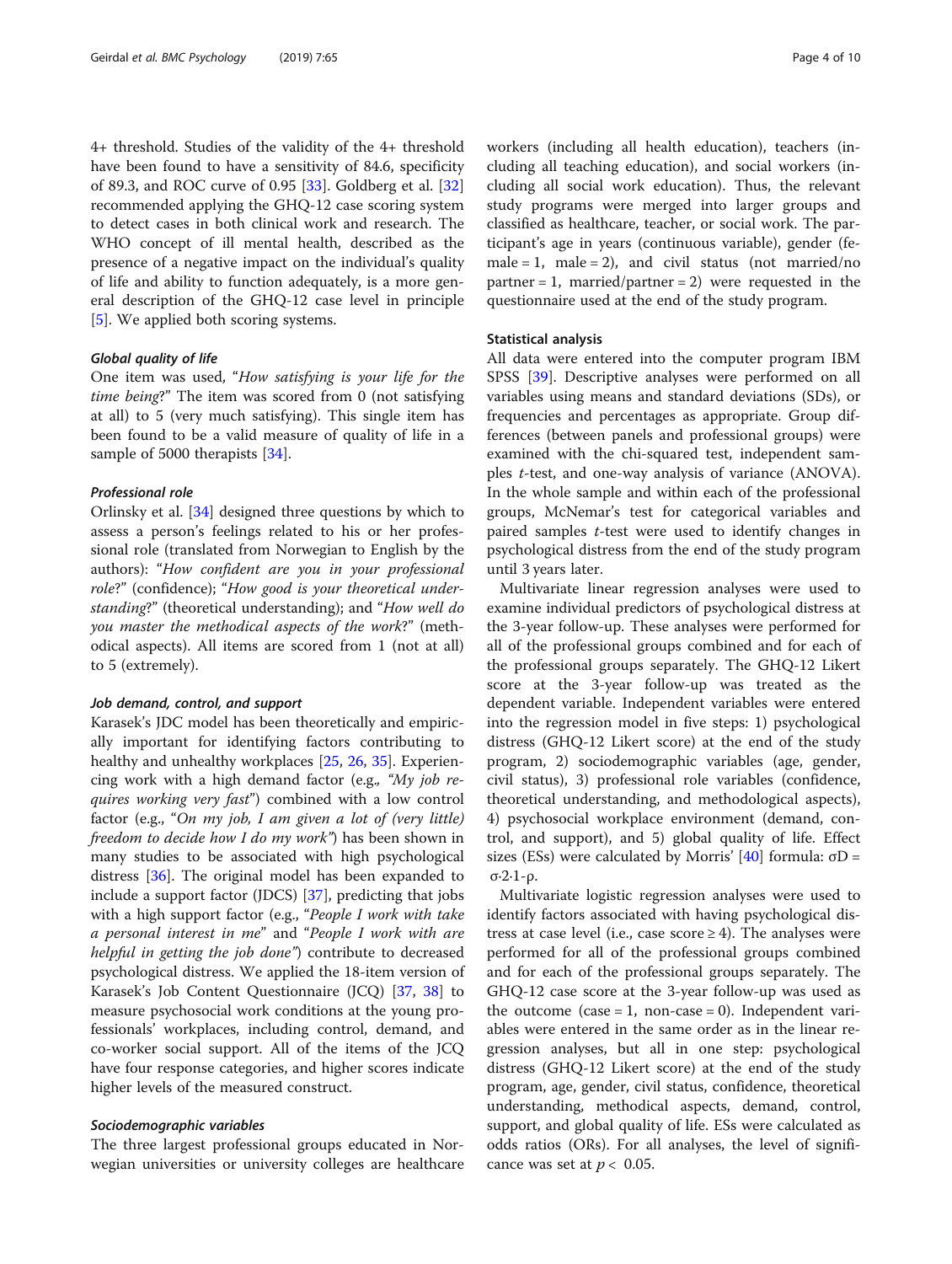4+ threshold. Studies of the validity of the 4+ threshold have been found to have a sensitivity of 84.6, specificity of 89.3, and ROC curve of 0.95 [[33\]](#page-9-0). Goldberg et al. [[32](#page-9-0)] recommended applying the GHQ-12 case scoring system to detect cases in both clinical work and research. The WHO concept of ill mental health, described as the presence of a negative impact on the individual's quality of life and ability to function adequately, is a more general description of the GHQ-12 case level in principle [[5\]](#page-8-0). We applied both scoring systems.

### Global quality of life

One item was used, "How satisfying is your life for the time being?" The item was scored from 0 (not satisfying at all) to 5 (very much satisfying). This single item has been found to be a valid measure of quality of life in a sample of 5000 therapists [\[34](#page-9-0)].

#### Professional role

Orlinsky et al. [[34\]](#page-9-0) designed three questions by which to assess a person's feelings related to his or her professional role (translated from Norwegian to English by the authors): "How confident are you in your professional role?" (confidence); "How good is your theoretical understanding?" (theoretical understanding); and "How well do you master the methodical aspects of the work?" (methodical aspects). All items are scored from 1 (not at all) to 5 (extremely).

#### Job demand, control, and support

Karasek's JDC model has been theoretically and empirically important for identifying factors contributing to healthy and unhealthy workplaces [[25](#page-8-0), [26](#page-9-0), [35\]](#page-9-0). Experiencing work with a high demand factor (e.g., " $My$  job requires working very fast") combined with a low control factor (e.g., "On my job, I am given a lot of (very little) freedom to decide how I do my work") has been shown in many studies to be associated with high psychological distress [\[36](#page-9-0)]. The original model has been expanded to include a support factor (JDCS) [[37](#page-9-0)], predicting that jobs with a high support factor (e.g., "People I work with take a personal interest in me" and "People I work with are helpful in getting the job done") contribute to decreased psychological distress. We applied the 18-item version of Karasek's Job Content Questionnaire (JCQ) [\[37](#page-9-0), [38\]](#page-9-0) to measure psychosocial work conditions at the young professionals' workplaces, including control, demand, and co-worker social support. All of the items of the JCQ have four response categories, and higher scores indicate higher levels of the measured construct.

#### Sociodemographic variables

The three largest professional groups educated in Norwegian universities or university colleges are healthcare workers (including all health education), teachers (including all teaching education), and social workers (including all social work education). Thus, the relevant study programs were merged into larger groups and classified as healthcare, teacher, or social work. The participant's age in years (continuous variable), gender (female = 1, male = 2), and civil status (not married/no partner = 1, married/partner = 2) were requested in the questionnaire used at the end of the study program.

#### Statistical analysis

All data were entered into the computer program IBM SPSS [\[39](#page-9-0)]. Descriptive analyses were performed on all variables using means and standard deviations (SDs), or frequencies and percentages as appropriate. Group differences (between panels and professional groups) were examined with the chi-squared test, independent samples t-test, and one-way analysis of variance (ANOVA). In the whole sample and within each of the professional groups, McNemar's test for categorical variables and paired samples t-test were used to identify changes in psychological distress from the end of the study program until 3 years later.

Multivariate linear regression analyses were used to examine individual predictors of psychological distress at the 3-year follow-up. These analyses were performed for all of the professional groups combined and for each of the professional groups separately. The GHQ-12 Likert score at the 3-year follow-up was treated as the dependent variable. Independent variables were entered into the regression model in five steps: 1) psychological distress (GHQ-12 Likert score) at the end of the study program, 2) sociodemographic variables (age, gender, civil status), 3) professional role variables (confidence, theoretical understanding, and methodological aspects), 4) psychosocial workplace environment (demand, control, and support), and 5) global quality of life. Effect sizes (ESs) were calculated by Morris' [\[40\]](#page-9-0) formula:  $σD =$ σ·2·1-ρ.

Multivariate logistic regression analyses were used to identify factors associated with having psychological distress at case level (i.e., case score  $\geq$  4). The analyses were performed for all of the professional groups combined and for each of the professional groups separately. The GHQ-12 case score at the 3-year follow-up was used as the outcome  $(case = 1, non-case = 0)$ . Independent variables were entered in the same order as in the linear regression analyses, but all in one step: psychological distress (GHQ-12 Likert score) at the end of the study program, age, gender, civil status, confidence, theoretical understanding, methodical aspects, demand, control, support, and global quality of life. ESs were calculated as odds ratios (ORs). For all analyses, the level of significance was set at  $p < 0.05$ .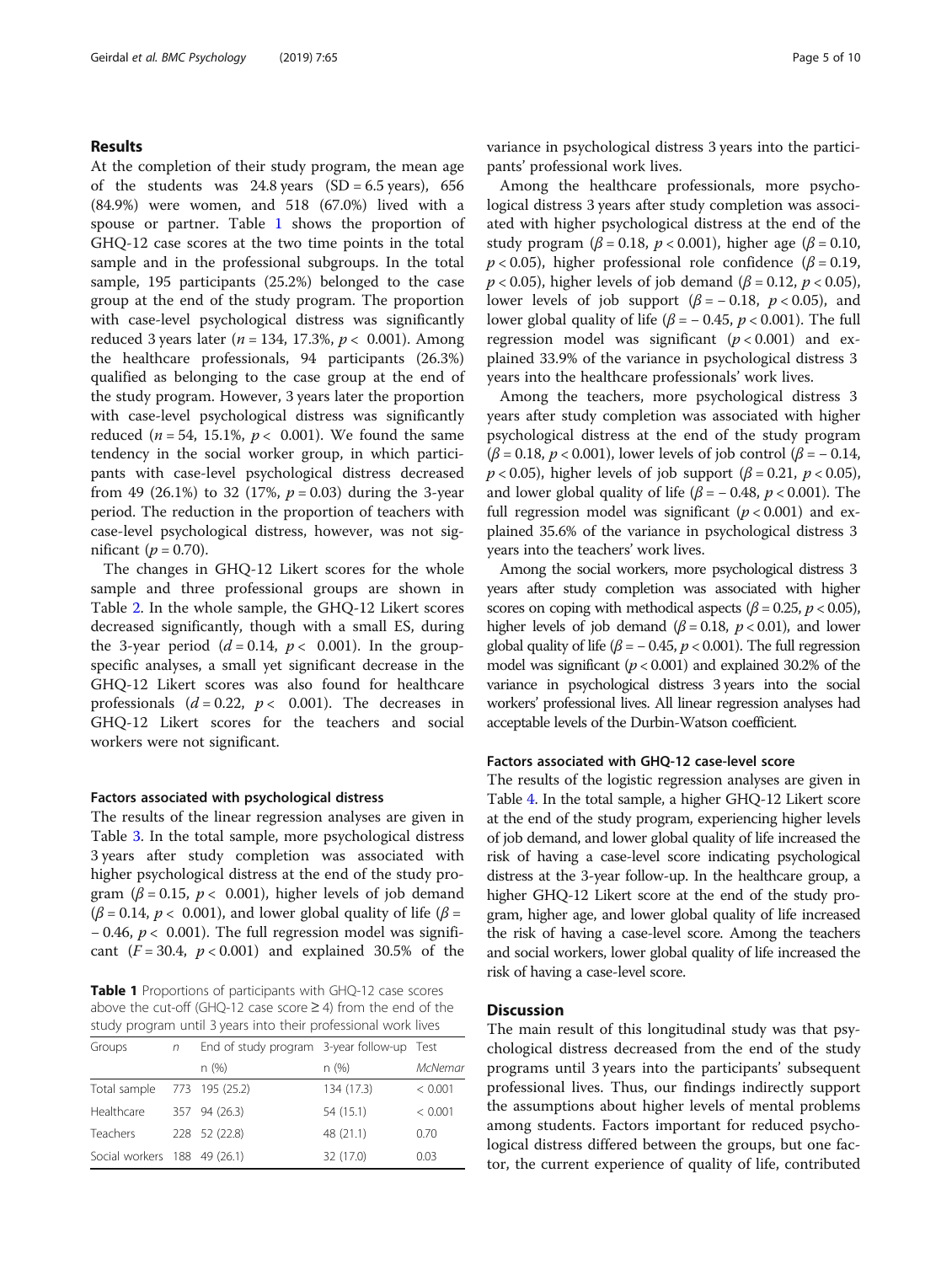#### Results

At the completion of their study program, the mean age of the students was  $24.8$  years  $(SD = 6.5$  years), 656 (84.9%) were women, and 518 (67.0%) lived with a spouse or partner. Table 1 shows the proportion of GHQ-12 case scores at the two time points in the total sample and in the professional subgroups. In the total sample, 195 participants (25.2%) belonged to the case group at the end of the study program. The proportion with case-level psychological distress was significantly reduced 3 years later ( $n = 134, 17.3\%$ ,  $p < 0.001$ ). Among the healthcare professionals, 94 participants (26.3%) qualified as belonging to the case group at the end of the study program. However, 3 years later the proportion with case-level psychological distress was significantly reduced ( $n = 54$ , 15.1%,  $p < 0.001$ ). We found the same tendency in the social worker group, in which participants with case-level psychological distress decreased from 49 (26.1%) to 32 (17%,  $p = 0.03$ ) during the 3-year period. The reduction in the proportion of teachers with case-level psychological distress, however, was not significant ( $p = 0.70$ ).

The changes in GHQ-12 Likert scores for the whole sample and three professional groups are shown in Table [2.](#page-5-0) In the whole sample, the GHQ-12 Likert scores decreased significantly, though with a small ES, during the 3-year period  $(d = 0.14, p < 0.001)$ . In the groupspecific analyses, a small yet significant decrease in the GHQ-12 Likert scores was also found for healthcare professionals  $(d = 0.22, p < 0.001)$ . The decreases in GHQ-12 Likert scores for the teachers and social workers were not significant.

#### Factors associated with psychological distress

The results of the linear regression analyses are given in Table [3.](#page-5-0) In the total sample, more psychological distress 3 years after study completion was associated with higher psychological distress at the end of the study program ( $\beta$  = 0.15,  $p < 0.001$ ), higher levels of job demand  $(\beta = 0.14, p < 0.001)$ , and lower global quality of life ( $\beta =$  $-0.46$ ,  $p < 0.001$ ). The full regression model was significant  $(F = 30.4, p < 0.001)$  and explained 30.5% of the

Table 1 Proportions of participants with GHQ-12 case scores above the cut-off (GHQ-12 case score  $\geq$  4) from the end of the study program until 3 years into their professional work lives

| Groups                       | n | End of study program 3-year follow-up Test |            |         |  |
|------------------------------|---|--------------------------------------------|------------|---------|--|
|                              |   | n(%)                                       | n (%)      | McNemar |  |
| Total sample                 |   | 773 195 (25.2)                             | 134 (17.3) | < 0.001 |  |
| Healthcare                   |   | 357 94 (26.3)                              | 54 (15.1)  | < 0.001 |  |
| Teachers                     |   | 228 52 (22.8)                              | 48 (21.1)  | 0.70    |  |
| Social workers 188 49 (26.1) |   |                                            | 32 (17.0)  | 0.03    |  |

variance in psychological distress 3 years into the participants' professional work lives.

Among the healthcare professionals, more psychological distress 3 years after study completion was associated with higher psychological distress at the end of the study program ( $\beta$  = 0.18,  $p$  < 0.001), higher age ( $\beta$  = 0.10,  $p < 0.05$ ), higher professional role confidence ( $\beta = 0.19$ ,  $p < 0.05$ ), higher levels of job demand ( $\beta = 0.12$ ,  $p < 0.05$ ), lower levels of job support ( $\beta$  = -0.18, p < 0.05), and lower global quality of life ( $\beta$  = -0.45, p < 0.001). The full regression model was significant  $(p < 0.001)$  and explained 33.9% of the variance in psychological distress 3 years into the healthcare professionals' work lives.

Among the teachers, more psychological distress 3 years after study completion was associated with higher psychological distress at the end of the study program ( $\beta$  = 0.18,  $p$  < 0.001), lower levels of job control ( $\beta$  = -0.14,  $p < 0.05$ ), higher levels of job support ( $\beta = 0.21$ ,  $p < 0.05$ ), and lower global quality of life ( $\beta$  = -0.48, p < 0.001). The full regression model was significant  $(p < 0.001)$  and explained 35.6% of the variance in psychological distress 3 years into the teachers' work lives.

Among the social workers, more psychological distress 3 years after study completion was associated with higher scores on coping with methodical aspects ( $\beta$  = 0.25, p < 0.05), higher levels of job demand ( $\beta$  = 0.18,  $p$  < 0.01), and lower global quality of life ( $\beta$  = -0.45,  $p$  < 0.001). The full regression model was significant ( $p < 0.001$ ) and explained 30.2% of the variance in psychological distress 3 years into the social workers' professional lives. All linear regression analyses had acceptable levels of the Durbin-Watson coefficient.

#### Factors associated with GHQ-12 case-level score

The results of the logistic regression analyses are given in Table [4.](#page-6-0) In the total sample, a higher GHQ-12 Likert score at the end of the study program, experiencing higher levels of job demand, and lower global quality of life increased the risk of having a case-level score indicating psychological distress at the 3-year follow-up. In the healthcare group, a higher GHQ-12 Likert score at the end of the study program, higher age, and lower global quality of life increased the risk of having a case-level score. Among the teachers and social workers, lower global quality of life increased the risk of having a case-level score.

#### **Discussion**

The main result of this longitudinal study was that psychological distress decreased from the end of the study programs until 3 years into the participants' subsequent professional lives. Thus, our findings indirectly support the assumptions about higher levels of mental problems among students. Factors important for reduced psychological distress differed between the groups, but one factor, the current experience of quality of life, contributed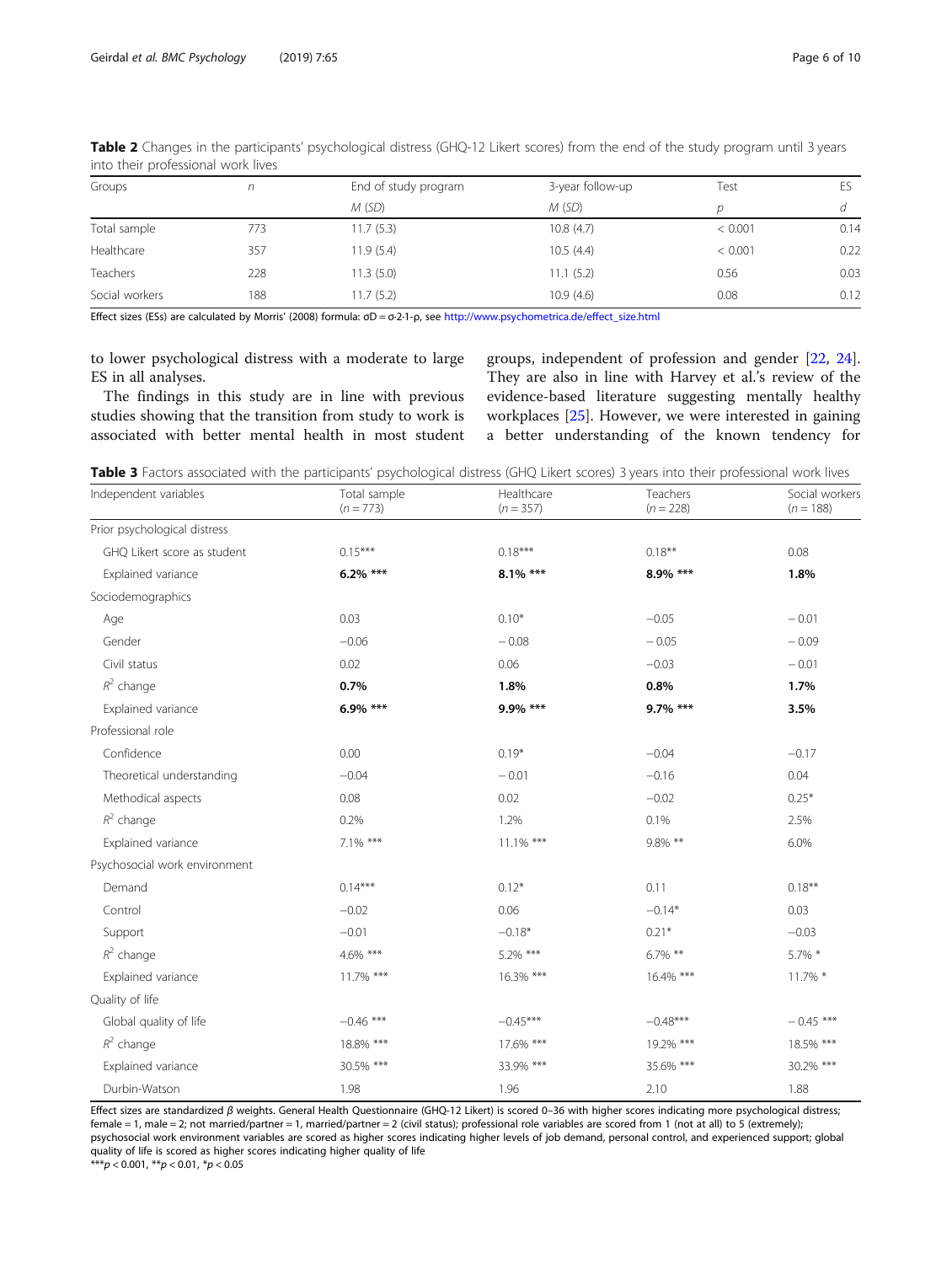| Groups         | n   | End of study program | 3-year follow-up | Test    | ES   |  |
|----------------|-----|----------------------|------------------|---------|------|--|
|                |     | M(SD)                | M(SD)            |         |      |  |
| Total sample   | 773 | 11.7(5.3)            | 10.8(4.7)        | < 0.001 | 0.14 |  |
| Healthcare     | 357 | 11.9(5.4)            | 10.5(4.4)        | < 0.001 | 0.22 |  |
| Teachers       | 228 | 11.3(5.0)            | 11.1(5.2)        | 0.56    | 0.03 |  |
| Social workers | 188 | 11.7(5.2)            | 10.9(4.6)        | 0.08    | 0.12 |  |

<span id="page-5-0"></span>Table 2 Changes in the participants' psychological distress (GHQ-12 Likert scores) from the end of the study program until 3 years into their professional work lives

Effect sizes (ESs) are calculated by Morris' (2008) formula: σD = σ·2·1-ρ, see [http://www.psychometrica.de/effect\\_size.html](http://www.psychometrica.de/effect_size.html)

to lower psychological distress with a moderate to large ES in all analyses.

The findings in this study are in line with previous studies showing that the transition from study to work is associated with better mental health in most student groups, independent of profession and gender [\[22,](#page-8-0) [24](#page-8-0)]. They are also in line with Harvey et al.'s review of the evidence-based literature suggesting mentally healthy workplaces [\[25](#page-8-0)]. However, we were interested in gaining a better understanding of the known tendency for

Table 3 Factors associated with the participants' psychological distress (GHQ Likert scores) 3 years into their professional work lives

| Independent variables         | Total sample<br>$(n = 773)$ | Healthcare<br>$(n = 357)$ | Teachers<br>$(n = 228)$ | Social workers<br>$(n = 188)$ |
|-------------------------------|-----------------------------|---------------------------|-------------------------|-------------------------------|
| Prior psychological distress  |                             |                           |                         |                               |
| GHQ Likert score as student   | $0.15***$                   | $0.18***$                 | $0.18***$               | 0.08                          |
| Explained variance            | $6.2\%$ ***                 | 8.1% ***                  | 8.9% ***                | 1.8%                          |
| Sociodemographics             |                             |                           |                         |                               |
| Age                           | 0.03                        | $0.10*$                   | $-0.05$                 | $-0.01$                       |
| Gender                        | $-0.06$                     | $-0.08$                   | $-0.05$                 | $-0.09$                       |
| Civil status                  | 0.02                        | 0.06                      | $-0.03$                 | $-0.01$                       |
| $R^2$ change                  | 0.7%                        | 1.8%                      | 0.8%                    | 1.7%                          |
| Explained variance            | 6.9% ***                    | 9.9% ***                  | 9.7% ***                | 3.5%                          |
| Professional role             |                             |                           |                         |                               |
| Confidence                    | 0.00                        | $0.19*$                   | $-0.04$                 | $-0.17$                       |
| Theoretical understanding     | $-0.04$                     | $-0.01$                   | $-0.16$                 | 0.04                          |
| Methodical aspects            | 0.08                        | 0.02                      | $-0.02$                 | $0.25*$                       |
| $R^2$ change                  | 0.2%                        | 1.2%                      | 0.1%                    | 2.5%                          |
| Explained variance            | 7.1% ***                    | $11.1\%$ ***              | 9.8% **                 | 6.0%                          |
| Psychosocial work environment |                             |                           |                         |                               |
| Demand                        | $0.14***$                   | $0.12*$                   | 0.11                    | $0.18***$                     |
| Control                       | $-0.02$                     | 0.06                      | $-0.14*$                | 0.03                          |
| Support                       | $-0.01$                     | $-0.18*$                  | $0.21*$                 | $-0.03$                       |
| $R^2$ change                  | 4.6% ***                    | 5.2% ***                  | $6.7\%$ **              | 5.7% *                        |
| Explained variance            | 11.7% ***                   | 16.3% ***                 | 16.4% ***               | 11.7% *                       |
| Quality of life               |                             |                           |                         |                               |
| Global quality of life        | $-0.46$ ***                 | $-0.45***$                | $-0.48***$              | $-0.45$ ***                   |
| $R^2$ change                  | 18.8% ***                   | 17.6% ***                 | 19.2% ***               | 18.5% ***                     |
| Explained variance            | 30.5% ***                   | 33.9% ***                 | 35.6% ***               | 30.2% ***                     |
| Durbin-Watson                 | 1.98                        | 1.96                      | 2.10                    | 1.88                          |

Effect sizes are standardized β weights. General Health Questionnaire (GHQ-12 Likert) is scored 0–36 with higher scores indicating more psychological distress; female = 1, male = 2; not married/partner = 1, married/partner = 2 (civil status); professional role variables are scored from 1 (not at all) to 5 (extremely); psychosocial work environment variables are scored as higher scores indicating higher levels of job demand, personal control, and experienced support; global quality of life is scored as higher scores indicating higher quality of life

\*\*\* $p < 0.001$ , \*\* $p < 0.01$ , \* $p < 0.05$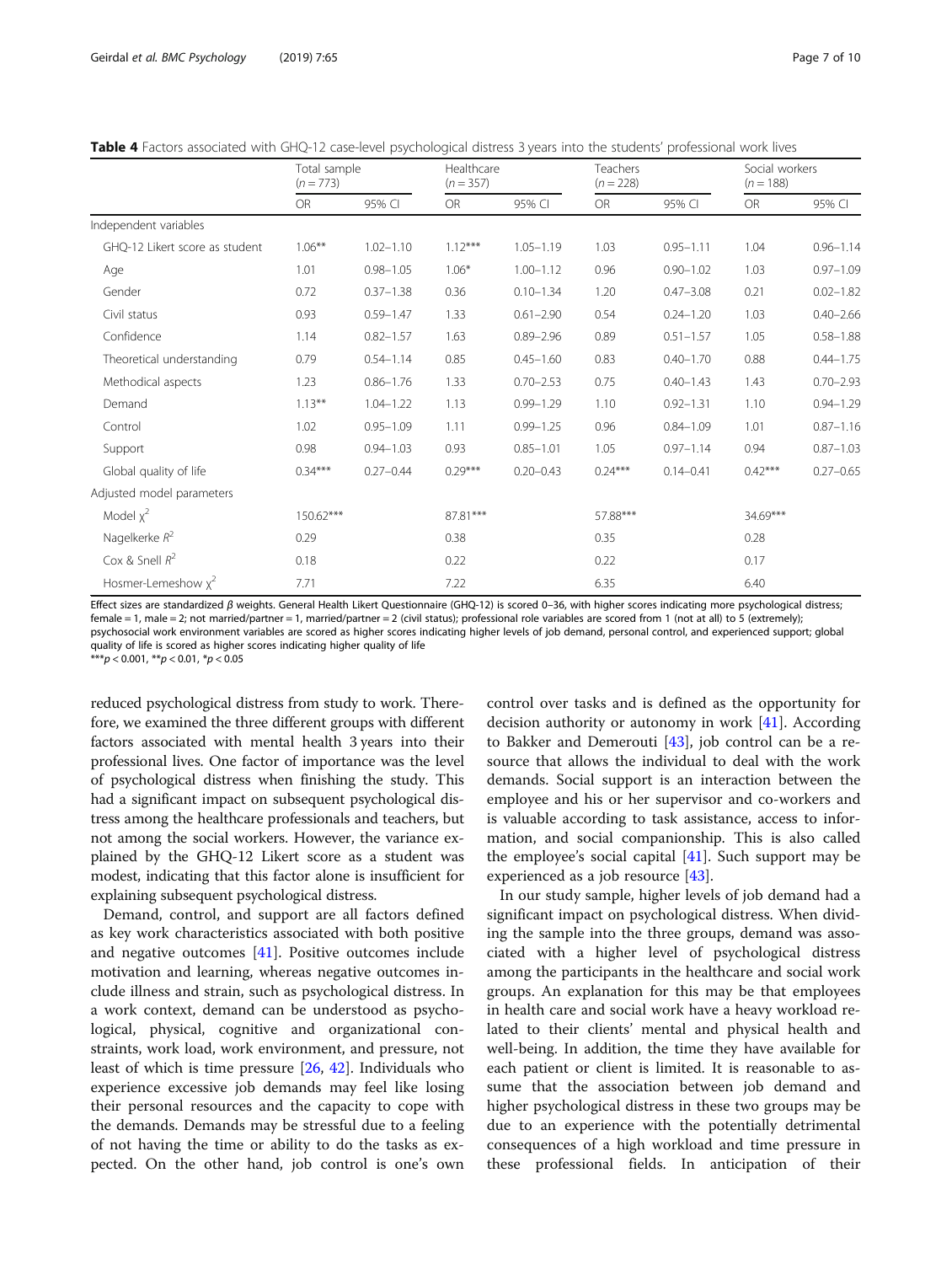<span id="page-6-0"></span>

| Table 4 Factors associated with GHQ-12 case-level psychological distress 3 years into the students' professional work lives |  |
|-----------------------------------------------------------------------------------------------------------------------------|--|
|-----------------------------------------------------------------------------------------------------------------------------|--|

|                                | Total sample<br>$(n = 773)$ |               | Healthcare<br>$(n = 357)$ |               | Teachers<br>$(n = 228)$ |               | Social workers<br>$(n = 188)$ |               |
|--------------------------------|-----------------------------|---------------|---------------------------|---------------|-------------------------|---------------|-------------------------------|---------------|
|                                | <b>OR</b>                   | 95% CI        | <b>OR</b>                 | 95% CI        | OR                      | 95% CI        | <b>OR</b>                     | 95% CI        |
| Independent variables          |                             |               |                           |               |                         |               |                               |               |
| GHQ-12 Likert score as student | $1.06***$                   | $1.02 - 1.10$ | $1.12***$                 | $1.05 - 1.19$ | 1.03                    | $0.95 - 1.11$ | 1.04                          | $0.96 - 1.14$ |
| Age                            | 1.01                        | $0.98 - 1.05$ | $1.06*$                   | $1.00 - 1.12$ | 0.96                    | $0.90 - 1.02$ | 1.03                          | $0.97 - 1.09$ |
| Gender                         | 0.72                        | $0.37 - 1.38$ | 0.36                      | $0.10 - 1.34$ | 1.20                    | $0.47 - 3.08$ | 0.21                          | $0.02 - 1.82$ |
| Civil status                   | 0.93                        | $0.59 - 1.47$ | 1.33                      | $0.61 - 2.90$ | 0.54                    | $0.24 - 1.20$ | 1.03                          | $0.40 - 2.66$ |
| Confidence                     | 1.14                        | $0.82 - 1.57$ | 1.63                      | $0.89 - 2.96$ | 0.89                    | $0.51 - 1.57$ | 1.05                          | $0.58 - 1.88$ |
| Theoretical understanding      | 0.79                        | $0.54 - 1.14$ | 0.85                      | $0.45 - 1.60$ | 0.83                    | $0.40 - 1.70$ | 0.88                          | $0.44 - 1.75$ |
| Methodical aspects             | 1.23                        | $0.86 - 1.76$ | 1.33                      | $0.70 - 2.53$ | 0.75                    | $0.40 - 1.43$ | 1.43                          | $0.70 - 2.93$ |
| Demand                         | $1.13***$                   | $1.04 - 1.22$ | 1.13                      | $0.99 - 1.29$ | 1.10                    | $0.92 - 1.31$ | 1.10                          | $0.94 - 1.29$ |
| Control                        | 1.02                        | $0.95 - 1.09$ | 1.11                      | $0.99 - 1.25$ | 0.96                    | $0.84 - 1.09$ | 1.01                          | $0.87 - 1.16$ |
| Support                        | 0.98                        | $0.94 - 1.03$ | 0.93                      | $0.85 - 1.01$ | 1.05                    | $0.97 - 1.14$ | 0.94                          | $0.87 - 1.03$ |
| Global quality of life         | $0.34***$                   | $0.27 - 0.44$ | $0.29***$                 | $0.20 - 0.43$ | $0.24***$               | $0.14 - 0.41$ | $0.42***$                     | $0.27 - 0.65$ |
| Adjusted model parameters      |                             |               |                           |               |                         |               |                               |               |
| Model $x^2$                    | 150.62***                   |               | 87.81***                  |               | 57.88***                |               | 34.69***                      |               |
| Nagelkerke $R^2$               | 0.29                        |               | 0.38                      |               | 0.35                    |               | 0.28                          |               |
| Cox & Snell $R^2$              | 0.18                        |               | 0.22                      |               | 0.22                    |               | 0.17                          |               |
| Hosmer-Lemeshow $x^2$          | 7.71                        |               | 7.22                      |               | 6.35                    |               | 6.40                          |               |

Effect sizes are standardized β weights. General Health Likert Questionnaire (GHQ-12) is scored 0–36, with higher scores indicating more psychological distress; female = 1, male = 2; not married/partner = 1, married/partner = 2 (civil status); professional role variables are scored from 1 (not at all) to 5 (extremely); psychosocial work environment variables are scored as higher scores indicating higher levels of job demand, personal control, and experienced support; global quality of life is scored as higher scores indicating higher quality of life

\*\*\*p < 0.001, \*\*p < 0.01, \*p < 0.05

reduced psychological distress from study to work. Therefore, we examined the three different groups with different factors associated with mental health 3 years into their professional lives. One factor of importance was the level of psychological distress when finishing the study. This had a significant impact on subsequent psychological distress among the healthcare professionals and teachers, but not among the social workers. However, the variance explained by the GHQ-12 Likert score as a student was modest, indicating that this factor alone is insufficient for explaining subsequent psychological distress.

Demand, control, and support are all factors defined as key work characteristics associated with both positive and negative outcomes [\[41\]](#page-9-0). Positive outcomes include motivation and learning, whereas negative outcomes include illness and strain, such as psychological distress. In a work context, demand can be understood as psychological, physical, cognitive and organizational constraints, work load, work environment, and pressure, not least of which is time pressure [[26,](#page-9-0) [42](#page-9-0)]. Individuals who experience excessive job demands may feel like losing their personal resources and the capacity to cope with the demands. Demands may be stressful due to a feeling of not having the time or ability to do the tasks as expected. On the other hand, job control is one's own

control over tasks and is defined as the opportunity for decision authority or autonomy in work [[41](#page-9-0)]. According to Bakker and Demerouti [[43](#page-9-0)], job control can be a resource that allows the individual to deal with the work demands. Social support is an interaction between the employee and his or her supervisor and co-workers and is valuable according to task assistance, access to information, and social companionship. This is also called the employee's social capital [[41\]](#page-9-0). Such support may be experienced as a job resource [\[43](#page-9-0)].

In our study sample, higher levels of job demand had a significant impact on psychological distress. When dividing the sample into the three groups, demand was associated with a higher level of psychological distress among the participants in the healthcare and social work groups. An explanation for this may be that employees in health care and social work have a heavy workload related to their clients' mental and physical health and well-being. In addition, the time they have available for each patient or client is limited. It is reasonable to assume that the association between job demand and higher psychological distress in these two groups may be due to an experience with the potentially detrimental consequences of a high workload and time pressure in these professional fields. In anticipation of their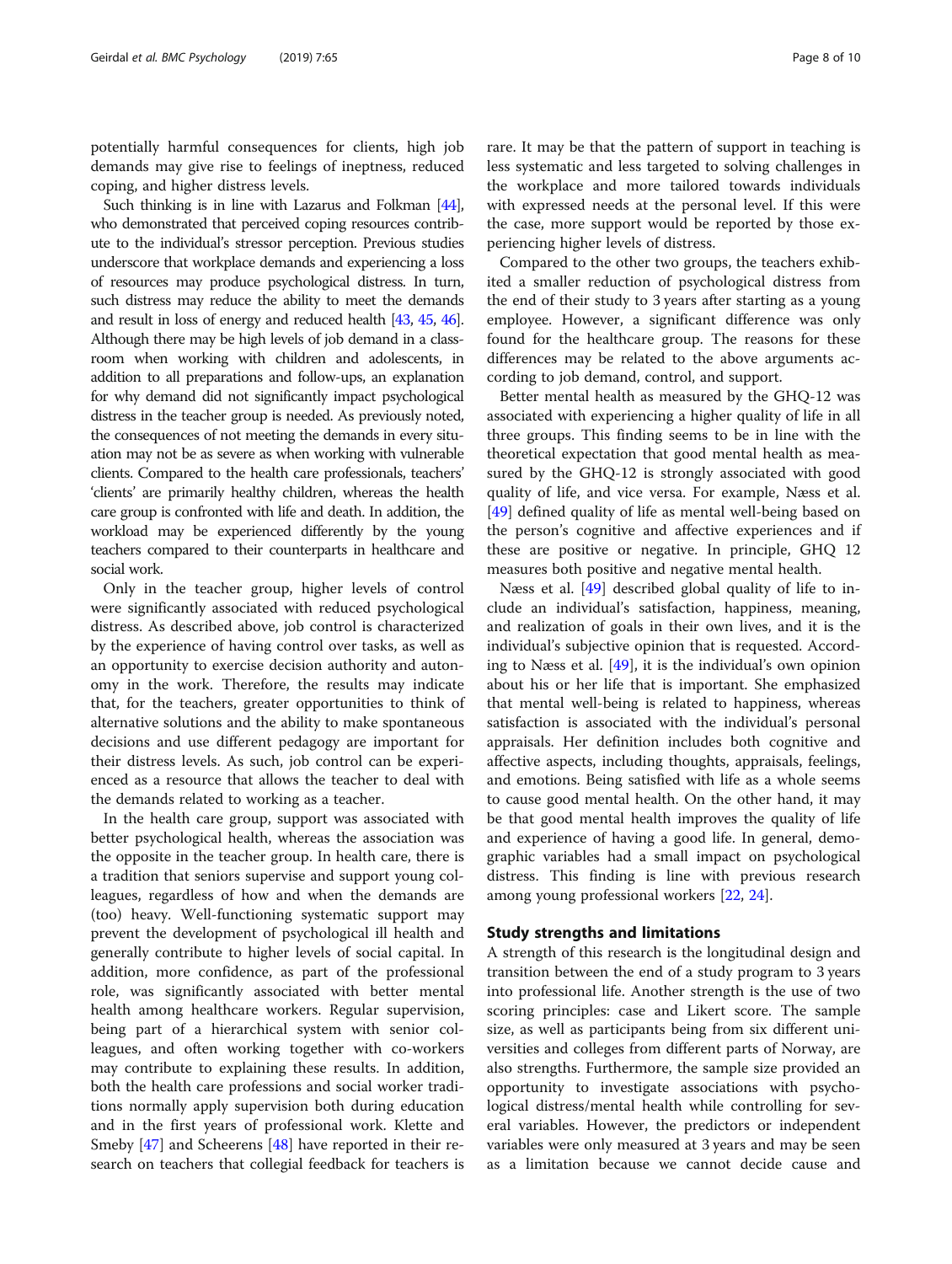potentially harmful consequences for clients, high job demands may give rise to feelings of ineptness, reduced coping, and higher distress levels.

Such thinking is in line with Lazarus and Folkman [\[44\]](#page-9-0), who demonstrated that perceived coping resources contribute to the individual's stressor perception. Previous studies underscore that workplace demands and experiencing a loss of resources may produce psychological distress. In turn, such distress may reduce the ability to meet the demands and result in loss of energy and reduced health [\[43,](#page-9-0) [45](#page-9-0), [46](#page-9-0)]. Although there may be high levels of job demand in a classroom when working with children and adolescents, in addition to all preparations and follow-ups, an explanation for why demand did not significantly impact psychological distress in the teacher group is needed. As previously noted, the consequences of not meeting the demands in every situation may not be as severe as when working with vulnerable clients. Compared to the health care professionals, teachers' 'clients' are primarily healthy children, whereas the health care group is confronted with life and death. In addition, the workload may be experienced differently by the young teachers compared to their counterparts in healthcare and social work.

Only in the teacher group, higher levels of control were significantly associated with reduced psychological distress. As described above, job control is characterized by the experience of having control over tasks, as well as an opportunity to exercise decision authority and autonomy in the work. Therefore, the results may indicate that, for the teachers, greater opportunities to think of alternative solutions and the ability to make spontaneous decisions and use different pedagogy are important for their distress levels. As such, job control can be experienced as a resource that allows the teacher to deal with the demands related to working as a teacher.

In the health care group, support was associated with better psychological health, whereas the association was the opposite in the teacher group. In health care, there is a tradition that seniors supervise and support young colleagues, regardless of how and when the demands are (too) heavy. Well-functioning systematic support may prevent the development of psychological ill health and generally contribute to higher levels of social capital. In addition, more confidence, as part of the professional role, was significantly associated with better mental health among healthcare workers. Regular supervision, being part of a hierarchical system with senior colleagues, and often working together with co-workers may contribute to explaining these results. In addition, both the health care professions and social worker traditions normally apply supervision both during education and in the first years of professional work. Klette and Smeby [[47\]](#page-9-0) and Scheerens [[48\]](#page-9-0) have reported in their research on teachers that collegial feedback for teachers is

rare. It may be that the pattern of support in teaching is less systematic and less targeted to solving challenges in the workplace and more tailored towards individuals with expressed needs at the personal level. If this were the case, more support would be reported by those experiencing higher levels of distress.

Compared to the other two groups, the teachers exhibited a smaller reduction of psychological distress from the end of their study to 3 years after starting as a young employee. However, a significant difference was only found for the healthcare group. The reasons for these differences may be related to the above arguments according to job demand, control, and support.

Better mental health as measured by the GHQ-12 was associated with experiencing a higher quality of life in all three groups. This finding seems to be in line with the theoretical expectation that good mental health as measured by the GHQ-12 is strongly associated with good quality of life, and vice versa. For example, Næss et al. [[49\]](#page-9-0) defined quality of life as mental well-being based on the person's cognitive and affective experiences and if these are positive or negative. In principle, GHQ 12 measures both positive and negative mental health.

Næss et al. [\[49](#page-9-0)] described global quality of life to include an individual's satisfaction, happiness, meaning, and realization of goals in their own lives, and it is the individual's subjective opinion that is requested. According to Næss et al. [[49\]](#page-9-0), it is the individual's own opinion about his or her life that is important. She emphasized that mental well-being is related to happiness, whereas satisfaction is associated with the individual's personal appraisals. Her definition includes both cognitive and affective aspects, including thoughts, appraisals, feelings, and emotions. Being satisfied with life as a whole seems to cause good mental health. On the other hand, it may be that good mental health improves the quality of life and experience of having a good life. In general, demographic variables had a small impact on psychological distress. This finding is line with previous research among young professional workers [[22,](#page-8-0) [24](#page-8-0)].

#### Study strengths and limitations

A strength of this research is the longitudinal design and transition between the end of a study program to 3 years into professional life. Another strength is the use of two scoring principles: case and Likert score. The sample size, as well as participants being from six different universities and colleges from different parts of Norway, are also strengths. Furthermore, the sample size provided an opportunity to investigate associations with psychological distress/mental health while controlling for several variables. However, the predictors or independent variables were only measured at 3 years and may be seen as a limitation because we cannot decide cause and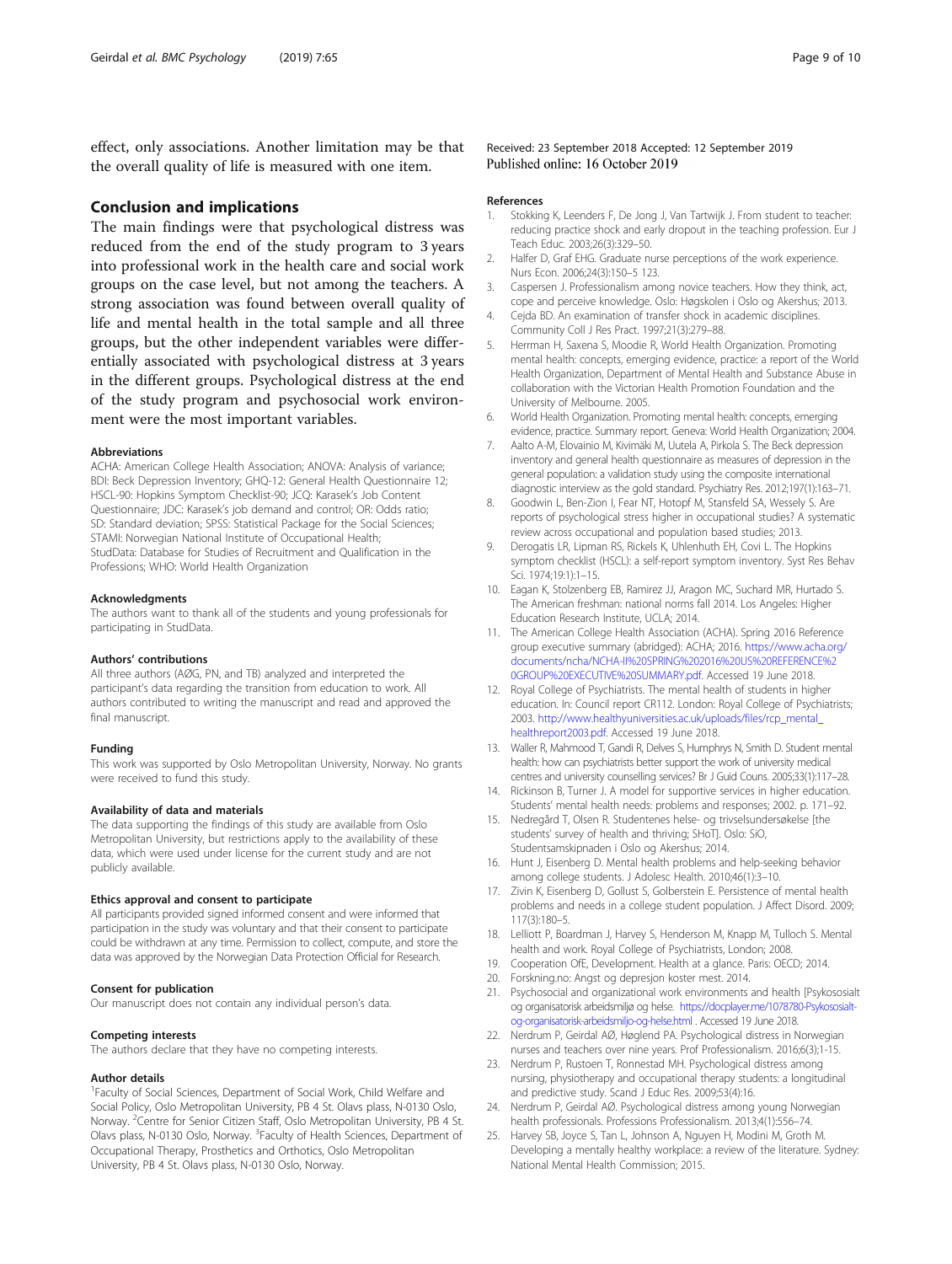<span id="page-8-0"></span>effect, only associations. Another limitation may be that the overall quality of life is measured with one item.

#### Conclusion and implications

The main findings were that psychological distress was reduced from the end of the study program to 3 years into professional work in the health care and social work groups on the case level, but not among the teachers. A strong association was found between overall quality of life and mental health in the total sample and all three groups, but the other independent variables were differentially associated with psychological distress at 3 years in the different groups. Psychological distress at the end of the study program and psychosocial work environment were the most important variables.

#### Abbreviations

ACHA: American College Health Association; ANOVA: Analysis of variance; BDI: Beck Depression Inventory; GHQ-12: General Health Questionnaire 12; HSCL-90: Hopkins Symptom Checklist-90; JCQ: Karasek's Job Content Questionnaire; JDC: Karasek's job demand and control; OR: Odds ratio; SD: Standard deviation; SPSS: Statistical Package for the Social Sciences; STAMI: Norwegian National Institute of Occupational Health; StudData: Database for Studies of Recruitment and Qualification in the Professions; WHO: World Health Organization

#### Acknowledgments

The authors want to thank all of the students and young professionals for participating in StudData.

#### Authors' contributions

All three authors (AØG, PN, and TB) analyzed and interpreted the participant's data regarding the transition from education to work. All authors contributed to writing the manuscript and read and approved the final manuscript.

#### Funding

This work was supported by Oslo Metropolitan University, Norway. No grants were received to fund this study.

#### Availability of data and materials

The data supporting the findings of this study are available from Oslo Metropolitan University, but restrictions apply to the availability of these data, which were used under license for the current study and are not publicly available.

#### Ethics approval and consent to participate

All participants provided signed informed consent and were informed that participation in the study was voluntary and that their consent to participate could be withdrawn at any time. Permission to collect, compute, and store the data was approved by the Norwegian Data Protection Official for Research.

#### Consent for publication

Our manuscript does not contain any individual person's data.

#### Competing interests

The authors declare that they have no competing interests.

#### Author details

<sup>1</sup> Faculty of Social Sciences, Department of Social Work, Child Welfare and Social Policy, Oslo Metropolitan University, PB 4 St. Olavs plass, N-0130 Oslo, Norway. <sup>2</sup> Centre for Senior Citizen Staff, Oslo Metropolitan University, PB 4 St. Olavs plass, N-0130 Oslo, Norway. <sup>3</sup>Faculty of Health Sciences, Department of Occupational Therapy, Prosthetics and Orthotics, Oslo Metropolitan University, PB 4 St. Olavs plass, N-0130 Oslo, Norway.

Received: 23 September 2018 Accepted: 12 September 2019 Published online: 16 October 2019

#### References

- 1. Stokking K, Leenders F, De Jong J, Van Tartwijk J. From student to teacher: reducing practice shock and early dropout in the teaching profession. Eur J Teach Educ. 2003;26(3):329–50.
- 2. Halfer D, Graf EHG. Graduate nurse perceptions of the work experience. Nurs Econ. 2006;24(3):150–5 123.
- 3. Caspersen J. Professionalism among novice teachers. How they think, act, cope and perceive knowledge. Oslo: Høgskolen i Oslo og Akershus; 2013.
- 4. Cejda BD. An examination of transfer shock in academic disciplines. Community Coll J Res Pract. 1997;21(3):279–88.
- 5. Herrman H, Saxena S, Moodie R, World Health Organization. Promoting mental health: concepts, emerging evidence, practice: a report of the World Health Organization, Department of Mental Health and Substance Abuse in collaboration with the Victorian Health Promotion Foundation and the University of Melbourne. 2005.
- 6. World Health Organization. Promoting mental health: concepts, emerging evidence, practice. Summary report. Geneva: World Health Organization; 2004.
- 7. Aalto A-M, Elovainio M, Kivimäki M, Uutela A, Pirkola S. The Beck depression inventory and general health questionnaire as measures of depression in the general population: a validation study using the composite international diagnostic interview as the gold standard. Psychiatry Res. 2012;197(1):163–71.
- 8. Goodwin L, Ben-Zion I, Fear NT, Hotopf M, Stansfeld SA, Wessely S. Are reports of psychological stress higher in occupational studies? A systematic review across occupational and population based studies; 2013.
- Derogatis LR, Lipman RS, Rickels K, Uhlenhuth EH, Covi L. The Hopkins symptom checklist (HSCL): a self-report symptom inventory. Syst Res Behav Sci. 1974;19:1):1–15.
- 10. Eagan K, Stolzenberg EB, Ramirez JJ, Aragon MC, Suchard MR, Hurtado S. The American freshman: national norms fall 2014. Los Angeles: Higher Education Research Institute, UCLA; 2014.
- 11. The American College Health Association (ACHA). Spring 2016 Reference group executive summary (abridged): ACHA; 2016. [https://www.acha.org/](https://www.acha.org/documents/ncha/NCHA-II%20SPRING%202016%20US%20REFERENCE%20GROUP%20EXECUTIVE%20SUMMARY.pdf) [documents/ncha/NCHA-II%20SPRING%202016%20US%20REFERENCE%2](https://www.acha.org/documents/ncha/NCHA-II%20SPRING%202016%20US%20REFERENCE%20GROUP%20EXECUTIVE%20SUMMARY.pdf) [0GROUP%20EXECUTIVE%20SUMMARY.pdf](https://www.acha.org/documents/ncha/NCHA-II%20SPRING%202016%20US%20REFERENCE%20GROUP%20EXECUTIVE%20SUMMARY.pdf). Accessed 19 June 2018.
- 12. Royal College of Psychiatrists. The mental health of students in higher education. In: Council report CR112. London: Royal College of Psychiatrists; 2003. [http://www.healthyuniversities.ac.uk/uploads/files/rcp\\_mental\\_](http://www.healthyuniversities.ac.uk/uploads/files/rcp_mental_healthreport2003.pdf) [healthreport2003.pdf](http://www.healthyuniversities.ac.uk/uploads/files/rcp_mental_healthreport2003.pdf). Accessed 19 June 2018.
- 13. Waller R, Mahmood T, Gandi R, Delves S, Humphrys N, Smith D. Student mental health: how can psychiatrists better support the work of university medical centres and university counselling services? Br J Guid Couns. 2005;33(1):117–28.
- 14. Rickinson B, Turner J. A model for supportive services in higher education. Students' mental health needs: problems and responses; 2002. p. 171–92.
- 15. Nedregård T, Olsen R. Studentenes helse- og trivselsundersøkelse [the students' survey of health and thriving; SHoT]. Oslo: SiO, Studentsamskipnaden i Oslo og Akershus; 2014.
- 16. Hunt J, Eisenberg D. Mental health problems and help-seeking behavior among college students. J Adolesc Health. 2010;46(1):3–10.
- 17. Zivin K, Eisenberg D, Gollust S, Golberstein E. Persistence of mental health problems and needs in a college student population. J Affect Disord. 2009; 117(3):180–5.
- 18. Lelliott P, Boardman J, Harvey S, Henderson M, Knapp M, Tulloch S. Mental health and work. Royal College of Psychiatrists, London; 2008.
- 19. Cooperation OfE, Development. Health at a glance. Paris: OECD; 2014.
- 20. Forskning.no: Angst og depresjon koster mest. 2014.
- 21. Psychosocial and organizational work environments and health [Psykososialt og organisatorisk arbeidsmiljø og helse. [https://docplayer.me/1078780-Psykososialt](https://docplayer.me/1078780-Psykososialt-og-organisatorisk-arbeidsmiljo-og-helse.html)[og-organisatorisk-arbeidsmiljo-og-helse.html](https://docplayer.me/1078780-Psykososialt-og-organisatorisk-arbeidsmiljo-og-helse.html) . Accessed 19 June 2018.
- 22. Nerdrum P, Geirdal AØ, Høglend PA. Psychological distress in Norwegian nurses and teachers over nine years. Prof Professionalism. 2016;6(3);1-15.
- 23. Nerdrum P, Rustoen T, Ronnestad MH. Psychological distress among nursing, physiotherapy and occupational therapy students: a longitudinal and predictive study. Scand J Educ Res. 2009;53(4):16.
- 24. Nerdrum P, Geirdal AØ. Psychological distress among young Norwegian health professionals. Professions Professionalism. 2013;4(1):556–74.
- 25. Harvey SB, Joyce S, Tan L, Johnson A, Nguyen H, Modini M, Groth M. Developing a mentally healthy workplace: a review of the literature. Sydney: National Mental Health Commission; 2015.